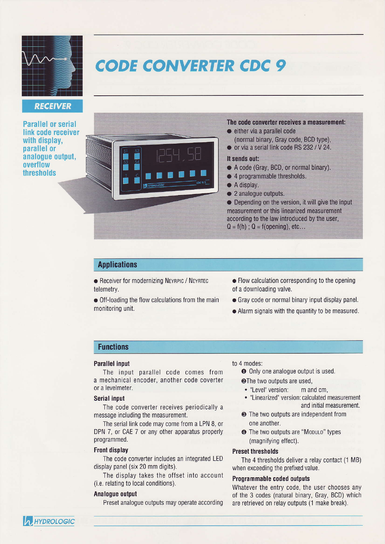

## **RECEIVER**

**Parallel or serial** link code receiver with display, parallel or analogue output, overflow thresholds

# **CODE CONVERTER CDC 9**



#### The code converter receives a measurement:

- $\bullet$  either via a parallel code
- (normal binâry, Gray code, BCD type), o 0r via a serial link code RS 232 /V 24.

#### It sends out:

- . A code (Gray, BCD, or normal binary).
- 4 programmable thresholds.
- A display.
- 2 analogue outputs.

 $\bullet$  Depending on the version, it will give the input measurement or this linearized measurement according to the law introduced by the user,  $Q = f(h)$ ;  $Q = f(opening)$ , etc...

## **Applications**

**• Receiver for modernizing NEYRPIC / NEYRTEC** telemetry.

o Off-loading the flow calculations from the main monitoring unit.

- $\bullet$  Flow calculation corresponding to the opening of a downloading valve.
- o Gray code or normal binary input display panel.
- $\bullet$  Alarm signals with the quantity to be measured.

## Functions

#### Parallel input

The input parallel code comes from a mechanical encoder, another code coverter or a levelmeter.

#### **Serial input**

The code converter receives periodically a message including the measurement.

The serial link code may come from a LPN 8, or DPN 7, or CAE 7 or any other apparatus properly programmed.

#### Front display

The code converter includes an integrated LED display panel (six 20 mm digits).

The display takes the offset into account (i.e. relating to local conditions).

#### Analogue oulput

Preset analogue outputs may operate according

#### to 4 modes:

- **O** Only one analogue output is used.
- **@The two outputs are used,** 
	- "Level" version: m and cm,
	- "Linearized" version: calculated measurement and initial measurement.
- $\odot$  The two outputs are independent from one another.
- **O** The two outputs are "Mobulo" types (magnifying effect).

#### Preset thresholds

The 4 thresholds deliver a relay contact (1 MB) when exceeding the prefixed value.

### Programmable coded outputs

Whatever the entry code, the user chooses any 0f the 3 codes (natural binary, Gray, BCD) which are retrieved on relay outputs (1 make break).